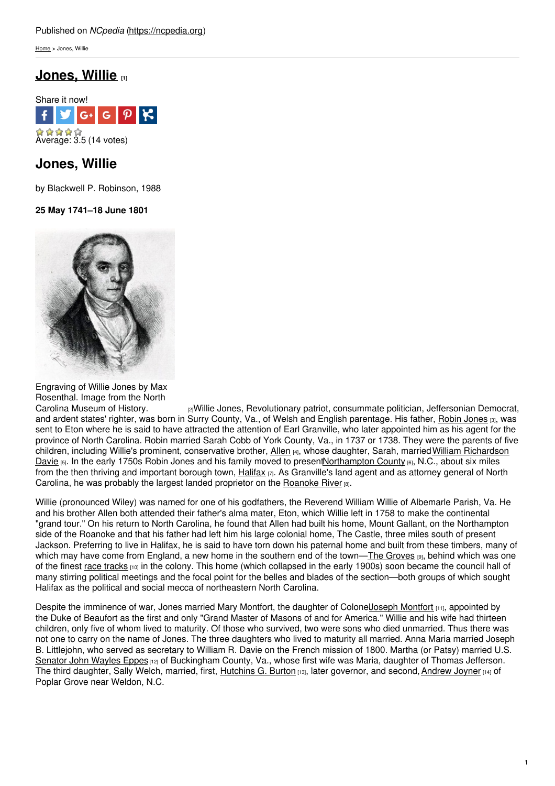[Home](https://ncpedia.org/) > Jones, Willie

# **[Jones,](https://ncpedia.org/biography/jones-willie) Willie [1]**



# **Jones, Willie**

by Blackwell P. Robinson, 1988

**25 May 1741–18 June 1801**



Engraving of Willie Jones by Max Rosenthal. Image from the North

Carolina [Museum](http://collections.ncdcr.gov/RediscoveryProficioPublicSearch/ShowItem.aspx?43705+) of History. **[2] Interact According Museum** patriot, consummate politician, Jeffersonian Democrat, and ardent states' righter, was born in Surry County, Va., of Welsh and English parentage. His father, Robin [Jones](https://ncpedia.org/biography/jones-robert-robin-jr) [3], was sent to Eton where he is said to have attracted the attention of Earl Granville, who later appointed him as his agent for the province of North Carolina. Robin married Sarah Cobb of York County, Va., in 1737 or 1738. They were the parents of five children, including Willie's prominent, conservative brother, [Allen](https://ncpedia.org/biography/jones-allen) [4], whose daughter, Sarah, married William Richardson Davie [5]. In the early 1750s Robin Jones and his family moved to present Northampton County [6], N.C., about six miles from the then thriving and important borough town,  $Hallfax$ <sub>[7]</sub>. As Granville's land agent and as attorney general of North Carolina, he was probably the largest landed proprietor on the [Roanoke](https://ncpedia.org/rivers/roanoke) River [8].

Willie (pronounced Wiley) was named for one of his godfathers, the Reverend William Willie of Albemarle Parish, Va. He and his brother Allen both attended their father's alma mater, Eton, which Willie left in 1758 to make the continental "grand tour." On his return to North Carolina, he found that Allen had built his home, Mount Gallant, on the Northampton side of the Roanoke and that his father had left him his large colonial home, The Castle, three miles south of present Jackson. Preferring to live in Halifax, he is said to have torn down his paternal home and built from these timbers, many of which may have come from England, a new home in the southern end of the town—The [Groves](https://ncpedia.org/grove) [9], behind which was one of the finest race [tracks](https://ncpedia.org/horse-racing) [10] in the colony. This home (which collapsed in the early 1900s) soon became the council hall of many stirring political meetings and the focal point for the belles and blades of the section—both groups of which sought Halifax as the political and social mecca of northeastern North Carolina.

Despite the imminence of war, Jones married Mary [Montfort](https://ncpedia.org/biography/montfort-joseph), the daughter of ColonelJoseph Montfort [11], appointed by the Duke of Beaufort as the first and only "Grand Master of Masons of and for America." Willie and his wife had thirteen children, only five of whom lived to maturity. Of those who survived, two were sons who died unmarried. Thus there was not one to carry on the name of Jones. The three daughters who lived to maturity all married. Anna Maria married Joseph B. Littlejohn, who served as secretary to William R. Davie on the French mission of 1800. Martha (or Patsy) married U.S. [Senator](http://bioguide.congress.gov/scripts/biodisplay.pl?index=E000197) John Wayles Eppes [12] of Buckingham County, Va., whose first wife was Maria, daughter of Thomas Jefferson. The third daughter, Sally Welch, married, first, [Hutchins](https://ncpedia.org/burton-hutchins-gordon) G. Burton [13], later governor, and second, [Andrew](https://ncpedia.org/biography/joyner-andrew) Joyner [14] of Poplar Grove near Weldon, N.C.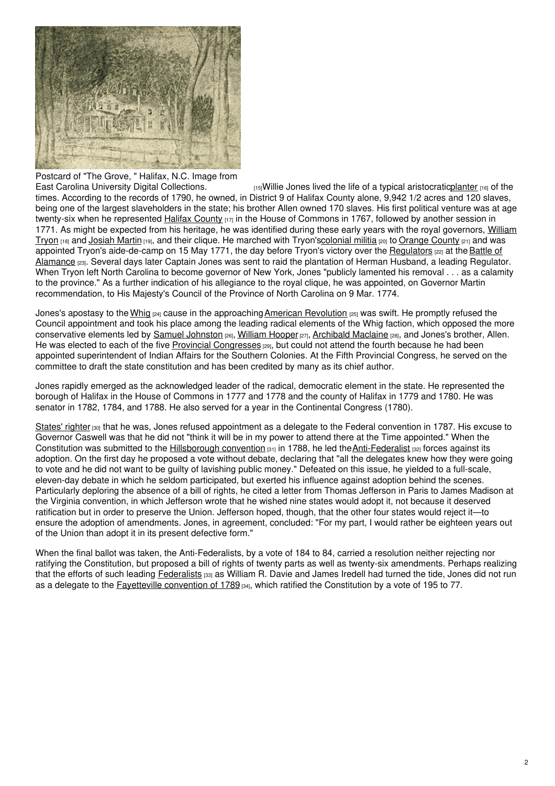

Postcard of "The Grove, " Halifax, N.C. Image from East Carolina University Digital Collections.

 $E_{[15]}$ Willie Jones lived the life of a typical aristocratic <u>planter</u>  $E_{[16]}$  of the times. According to the records of 1790, he owned, in District 9 of Halifax County alone, 9,942 1/2 acres and 120 slaves, being one of the largest slaveholders in the state; his brother Allen owned 170 slaves. His first political venture was at age twenty-six when he represented Halifax [County](https://ncpedia.org/geography/halifax) [17] in the House of Commons in 1767, followed by another session in 1771. As might be expected from his heritage, he was identified during these early years with the royal governors, William Tryon [18] and [Josiah](https://ncpedia.org/martin-josiah) Martin [19], and their clique. He marched with [Tryon's](https://ncpedia.org/biography/governors/tryon)[colonial](https://ncpedia.org/militias-colonial) militia [20] to [Orange](https://ncpedia.org/geography/orange) County [21] and was appointed Tryon's [aide-de-camp](https://ncpedia.org/alamance-battle) on 15 May 1771, the day before Tryon's victory over the [Regulators](https://ncpedia.org/history/colonial/regulator-movement) [22] at the Battle of Alamance <sub>[23]</sub>. Several days later Captain Jones was sent to raid the plantation of Herman Husband, a leading Regulator. When Tryon left North Carolina to become governor of New York, Jones "publicly lamented his removal . . . as a calamity to the province." As a further indication of his allegiance to the royal clique, he was appointed, on Governor Martin recommendation, to His Majesty's Council of the Province of North Carolina on 9 Mar. 1774.

Jones's apostasy to the [Whig](https://ncpedia.org/whig-party)  $_{[24]}$  cause in the approaching American [Revolution](https://ncpedia.org/american-revolution)  $_{[25]}$  was swift. He promptly refused the Council appointment and took his place among the leading radical elements of the Whig faction, which opposed the more conservative elements led by Samuel [Johnston](https://ncpedia.org/johnston-samuel) [26], [William](https://ncpedia.org/biography/hooper-william) Hooper [27], [Archibald](https://ncpedia.org/biography/maclaine-archibald) Maclaine [28], and Jones's brother, Allen. He was elected to each of the five Provincial [Congresses](https://ncpedia.org/provincial-congresses) [29], but could not attend the fourth because he had been appointed superintendent of Indian Affairs for the Southern Colonies. At the Fifth Provincial Congress, he served on the committee to draft the state constitution and has been credited by many as its chief author.

Jones rapidly emerged as the acknowledged leader of the radical, democratic element in the state. He represented the borough of Halifax in the House of Commons in 1777 and 1778 and the county of Halifax in 1779 and 1780. He was senator in 1782, 1784, and 1788. He also served for a year in the Continental Congress (1780).

[States'](https://ncpedia.org/state-rights) righter  $\frac{1}{100}$  that he was, Jones refused appointment as a delegate to the Federal convention in 1787. His excuse to Governor Caswell was that he did not "think it will be in my power to attend there at the Time appointed." When the Constitution was submitted to the [Hillsborough](https://ncpedia.org/government/convention-1788) convention  $a_{11}$  in 1788, he led the Anti-Federalist  $a_{21}$  forces against its adoption. On the first day he proposed a vote without debate, declaring that "all the delegates knew how they were going to vote and he did not want to be guilty of lavishing public money." Defeated on this issue, he yielded to a full-scale, eleven-day debate in which he seldom participated, but exerted his influence against adoption behind the scenes. Particularly deploring the absence of a bill of rights, he cited a letter from Thomas Jefferson in Paris to James Madison at the Virginia convention, in which Jefferson wrote that he wished nine states would adopt it, not because it deserved ratification but in order to preserve the Union. Jefferson hoped, though, that the other four states would reject it—to ensure the adoption of amendments. Jones, in agreement, concluded: "For my part, I would rather be eighteen years out of the Union than adopt it in its present defective form."

When the final ballot was taken, the Anti-Federalists, by a vote of 184 to 84, carried a resolution neither rejecting nor ratifying the Constitution, but proposed a bill of rights of twenty parts as well as twenty-six amendments. Perhaps realizing that the efforts of such leading [Federalists](https://ncpedia.org/federalist-party) [33] as William R. Davie and James Iredell had turned the tide, Jones did not run as a delegate to the [Fayetteville](https://ncpedia.org/government/convention-1789) convention of 1789 [34], which ratified the Constitution by a vote of 195 to 77.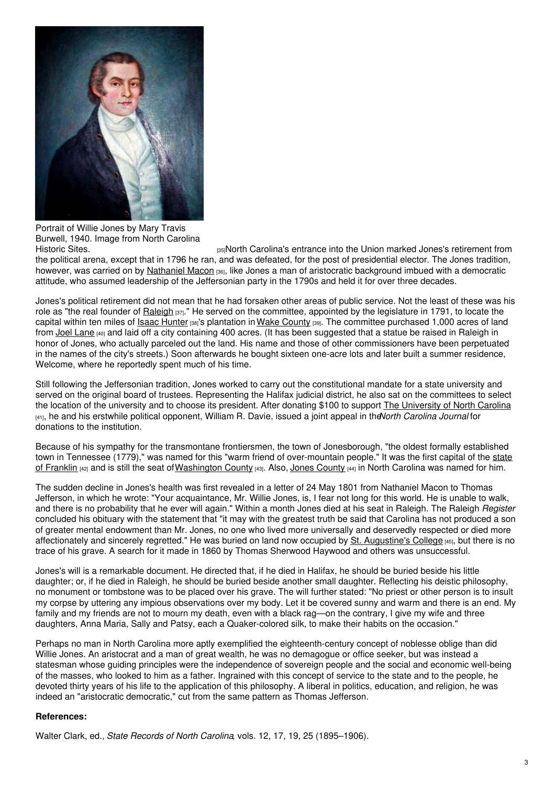

Portrait of Willie Jones by Mary Travis Burwell, 1940. Image from North Carolina

[Historic](http://collections.ncdcr.gov/RediscoveryProficioPublicSearch/ShowItem.aspx?2013+) Sites. **EXECUTE:** [35]North Carolina's entrance into the Union marked Jones's retirement from the political arena, except that in 1796 he ran, and was defeated, for the post of presidential elector. The Jones tradition, however, was carried on by [Nathaniel](https://ncpedia.org/biography/macon-nathaniel-0) Macon [36], like Jones a man of aristocratic background imbued with a democratic attitude, who assumed leadership of the Jeffersonian party in the 1790s and held it for over three decades.

Jones's political retirement did not mean that he had forsaken other areas of public service. Not the least of these was his role as "the real founder of [Raleigh](https://ncpedia.org/geography/raleigh) [37]." He served on the committee, appointed by the legislature in 1791, to locate the capital within ten miles of Isaac [Hunter](https://ncpedia.org/biography/hunter-isaac) [38]'s plantation inWake [County](https://ncpedia.org/geography/wake) [39]. The committee purchased 1,000 acres of land from Joel [Lane](https://ncpedia.org/biography/lane-joel) [40] and laid off a city containing 400 acres. (It has been suggested that a statue be raised in Raleigh in honor of Jones, who actually parceled out the land. His name and those of other commissioners have been perpetuated in the names of the city's streets.) Soon afterwards he bought sixteen one-acre lots and later built a summer residence, Welcome, where he reportedly spent much of his time.

Still following the Jeffersonian tradition, Jones worked to carry out the constitutional mandate for a state university and served on the original board of trustees. Representing the Halifax judicial district, he also sat on the committees to select the location of the university and to choose its president. After donating \$100 to support The [University](https://ncpedia.org/university-north-carolina-chapel-hi) of North Carolina [41], he and his erstwhile political opponent, William R. Davie, issued a joint appeal in the*North Carolina Journal* for donations to the institution.

Because of his sympathy for the transmontane frontiersmen, the town of Jonesborough, "the oldest formally established town in Tennessee (1779)," was named for this "warm friend of [over-mountain](https://ncpedia.org/franklin-state) people." It was the first capital of the state of Franklin [42] and is still the seat of [Washington](https://ncpedia.org/geography/washington) [County](https://ncpedia.org/geography/jones) [43]. Also, Jones County [44] in North Carolina was named for him.

The sudden decline in Jones's health was first revealed in a letter of 24 May 1801 from Nathaniel Macon to Thomas Jefferson, in which he wrote: "Your acquaintance, Mr. Willie Jones, is, I fear not long for this world. He is unable to walk, and there is no probability that he ever will again." Within a month Jones died at his seat in Raleigh. The Raleigh *Register* concluded his obituary with the statement that "it may with the greatest truth be said that Carolina has not produced a son of greater mental endowment than Mr. Jones, no one who lived more universally and deservedly respected or died more affectionately and sincerely regretted." He was buried on land now occupied by St. [Augustine's](https://ncpedia.org/saint-augustines-college) College [45], but there is no trace of his grave. A search for it made in 1860 by Thomas Sherwood Haywood and others was unsuccessful.

Jones's will is a remarkable document. He directed that, if he died in Halifax, he should be buried beside his little daughter; or, if he died in Raleigh, he should be buried beside another small daughter. Reflecting his deistic philosophy, no monument or tombstone was to be placed over his grave. The will further stated: "No priest or other person is to insult my corpse by uttering any impious observations over my body. Let it be covered sunny and warm and there is an end. My family and my friends are not to mourn my death, even with a black rag—on the contrary, I give my wife and three daughters, Anna Maria, Sally and Patsy, each a Quaker-colored silk, to make their habits on the occasion."

Perhaps no man in North Carolina more aptly exemplified the eighteenth-century concept of noblesse oblige than did Willie Jones. An aristocrat and a man of great wealth, he was no demagogue or office seeker, but was instead a statesman whose guiding principles were the independence of sovereign people and the social and economic well-being of the masses, who looked to him as a father. Ingrained with this concept of service to the state and to the people, he devoted thirty years of his life to the application of this philosophy. A liberal in politics, education, and religion, he was indeed an "aristocratic democratic," cut from the same pattern as Thomas Jefferson.

### **References:**

Walter Clark, ed., *State Records of North Carolina*, vols. 12, 17, 19, 25 (1895–1906).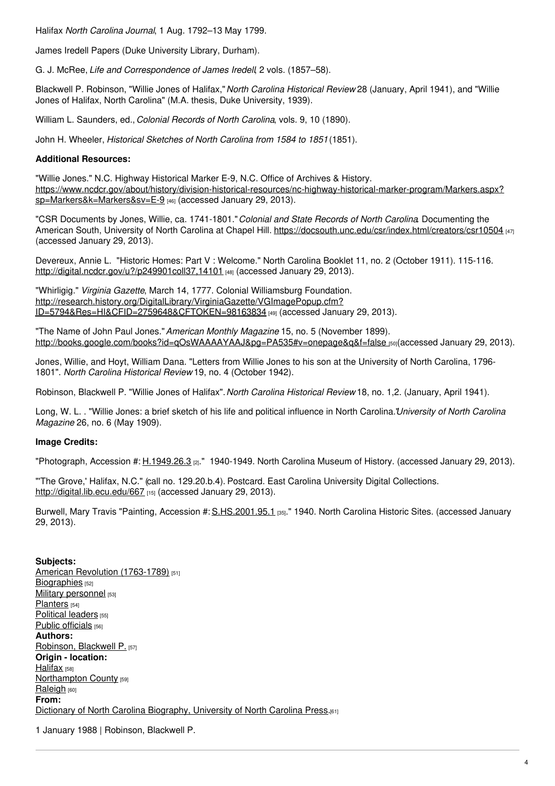Halifax *North Carolina Journal*, 1 Aug. 1792–13 May 1799.

James Iredell Papers (Duke University Library, Durham).

G. J. McRee, *Life and Correspondence of James Iredell*, 2 vols. (1857–58).

Blackwell P. Robinson, "Willie Jones of Halifax,"*North Carolina Historical Review* 28 (January, April 1941), and "Willie Jones of Halifax, North Carolina" (M.A. thesis, Duke University, 1939).

William L. Saunders, ed., *Colonial Records of North Carolina*, vols. 9, 10 (1890).

John H. Wheeler, *Historical Sketches of North Carolina from 1584 to 1851*(1851).

## **Additional Resources:**

"Willie Jones." N.C. Highway Historical Marker E-9, N.C. Office of Archives & History. [https://www.ncdcr.gov/about/history/division-historical-resources/nc-highway-historical-marker-program/Markers.aspx?](https://www.ncdcr.gov/about/history/division-historical-resources/nc-highway-historical-marker-program/Markers.aspx?sp=Markers&k=Markers&sv=E-9) sp=Markers&k=Markers&sv=E-9 [46] (accessed January 29, 2013).

"CSR Documents by Jones, Willie, ca. 1741-1801."*Colonial and State Records of North Carolina*. Documenting the American South, University of North Carolina at Chapel Hill. <https://docsouth.unc.edu/csr/index.html/creators/csr10504> [47] (accessed January 29, 2013).

Devereux, Annie L. "Historic Homes: Part V : Welcome." North Carolina Booklet 11, no. 2 (October 1911). 115-116. <http://digital.ncdcr.gov/u?/p249901coll37,14101> [48] (accessed January 29, 2013).

"Whirligig." *Virginia Gazette*, March 14, 1777. Colonial Williamsburg Foundation. [http://research.history.org/DigitalLibrary/VirginiaGazette/VGImagePopup.cfm?](http://research.history.org/DigitalLibrary/VirginiaGazette/VGImagePopup.cfm?ID=5794&Res=HI&CFID=2759648&CFTOKEN=98163834) ID=5794&Res=HI&CFID=2759648&CFTOKEN=98163834 [49] (accessed January 29, 2013).

"The Name of John Paul Jones."*American Monthly Magazine* 15, no. 5 (November 1899). http://books.google.com/books?id=gOsWAAAAYAAJ&pg=PA535#v=onepage&q&f=false [50](accessed January 29, 2013).

Jones, Willie, and Hoyt, William Dana. "Letters from Willie Jones to his son at the University of North Carolina, 1796- 1801". *North Carolina Historical Review* 19, no. 4 (October 1942).

Robinson, Blackwell P. "Willie Jones of Halifax".*North Carolina Historical Review* 18, no. 1,2. (January, April 1941).

Long, W. L. . "Willie Jones: a brief sketch of his life and political influence in North Carolina."*University of North Carolina Magazine* 26, no. 6 (May 1909).

## **Image Credits:**

"Photograph, Accession #:  $H.1949.26.3$  [2]." 1940-1949. North Carolina Museum of History. (accessed January 29, 2013).

"'The Grove,' Halifax, N.C." (call no. 129.20.b.4). Postcard. East Carolina University Digital Collections. <http://digital.lib.ecu.edu/667> [15] (accessed January 29, 2013).

Burwell, Mary Travis "Painting, Accession #: [S.HS.2001.95.1](http://collections.ncdcr.gov/RediscoveryProficioPublicSearch/ShowItem.aspx?2013+) [35]." 1940. North Carolina Historic Sites. (accessed January 29, 2013).

### **Subjects:**

American Revolution [\(1763-1789\)](https://ncpedia.org/category/subjects/us-revolution) [51] [Biographies](https://ncpedia.org/category/subjects/biography-term) [52] Military [personnel](https://ncpedia.org/category/subjects/soldiers) [53] [Planters](https://ncpedia.org/category/subjects/planters) [54] [Political](https://ncpedia.org/category/subjects/political-leaders) leaders [55] Public [officials](https://ncpedia.org/category/subjects/public-officials) [56] **Authors:** [Robinson,](https://ncpedia.org/category/authors/robinson-blackwell) Blackwell P. [57] **Origin - location:** [Halifax](https://ncpedia.org/category/origin-location/halifax) [58] [Northampton](https://ncpedia.org/category/origin-location/coastal-31) County [59] [Raleigh](https://ncpedia.org/category/origin-location/piedmont-0) [60] **From:** Dictionary of North Carolina [Biography,](https://ncpedia.org/category/entry-source/dictionary-no) University of North Carolina Press.<sup>[61]</sup>

1 January 1988 | Robinson, Blackwell P.